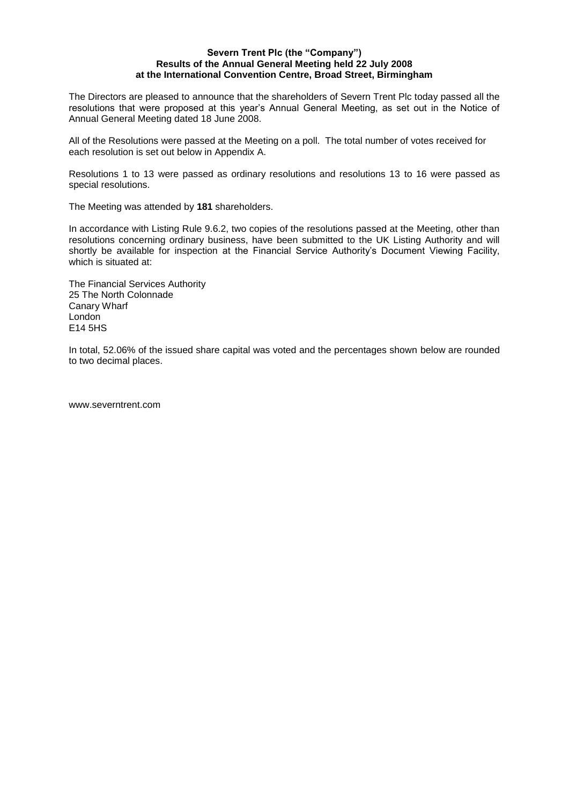### **Severn Trent Plc (the "Company") Results of the Annual General Meeting held 22 July 2008 at the International Convention Centre, Broad Street, Birmingham**

The Directors are pleased to announce that the shareholders of Severn Trent Plc today passed all the resolutions that were proposed at this year's Annual General Meeting, as set out in the Notice of Annual General Meeting dated 18 June 2008.

All of the Resolutions were passed at the Meeting on a poll. The total number of votes received for each resolution is set out below in Appendix A.

Resolutions 1 to 13 were passed as ordinary resolutions and resolutions 13 to 16 were passed as special resolutions.

The Meeting was attended by **181** shareholders.

In accordance with Listing Rule 9.6.2, two copies of the resolutions passed at the Meeting, other than resolutions concerning ordinary business, have been submitted to the UK Listing Authority and will shortly be available for inspection at the Financial Service Authority's Document Viewing Facility, which is situated at:

The Financial Services Authority 25 The North Colonnade Canary Wharf London E14 5HS

In total, 52.06% of the issued share capital was voted and the percentages shown below are rounded to two decimal places.

www.severntrent.com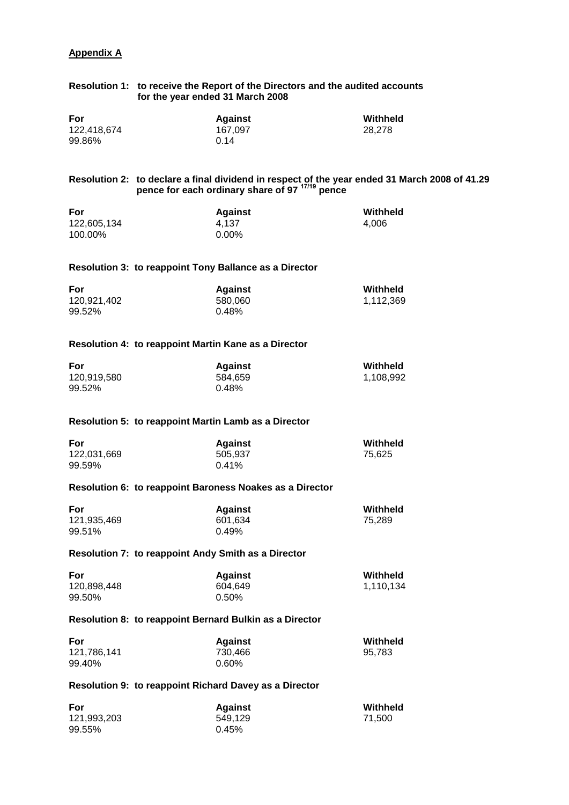## **Appendix A**

# **Resolution 1: to receive the Report of the Directors and the audited accounts for the year ended 31 March 2008**

| For         | Against | Withheld |
|-------------|---------|----------|
| 122,418,674 | 167.097 | 28,278   |
| 99.86%      | 0.14    |          |

## **Resolution 2: to declare a final dividend in respect of the year ended 31 March 2008 of 41.29 pence for each ordinary share of 97 17/19 pence**

| For         | <b>Against</b> | Withheld |
|-------------|----------------|----------|
| 122,605,134 | 4.137          | 4.006    |
| 100.00%     | 0.00%          |          |

## **Resolution 3: to reappoint Tony Ballance as a Director**

| For         | <b>Against</b> | Withheld  |
|-------------|----------------|-----------|
| 120,921,402 | 580.060        | 1,112,369 |
| 99.52%      | 0.48%          |           |

## **Resolution 4: to reappoint Martin Kane as a Director**

| For         | <b>Against</b> | Withheld  |
|-------------|----------------|-----------|
| 120,919,580 | 584.659        | 1,108,992 |
| 99.52%      | 0.48%          |           |

#### **Resolution 5: to reappoint Martin Lamb as a Director**

| For         | <b>Against</b> | Withheld |
|-------------|----------------|----------|
| 122,031,669 | 505.937        | 75.625   |
| 99.59%      | $0.41\%$       |          |

### **Resolution 6: to reappoint Baroness Noakes as a Director**

| For         | <b>Against</b> | Withheld |
|-------------|----------------|----------|
| 121,935,469 | 601.634        | 75.289   |
| 99.51%      | 0.49%          |          |

## **Resolution 7: to reappoint Andy Smith as a Director**

| For         | <b>Against</b> | Withheld  |
|-------------|----------------|-----------|
| 120,898,448 | 604.649        | 1,110,134 |
| 99.50%      | $0.50\%$       |           |

#### **Resolution 8: to reappoint Bernard Bulkin as a Director**

| For         | <b>Against</b> | Withheld |
|-------------|----------------|----------|
| 121,786,141 | 730.466        | 95.783   |
| 99.40%      | $0.60\%$       |          |

## **Resolution 9: to reappoint Richard Davey as a Director**

| For         | <b>Against</b> | Withheld |
|-------------|----------------|----------|
| 121,993,203 | 549.129        | 71.500   |
| 99.55%      | 0.45%          |          |